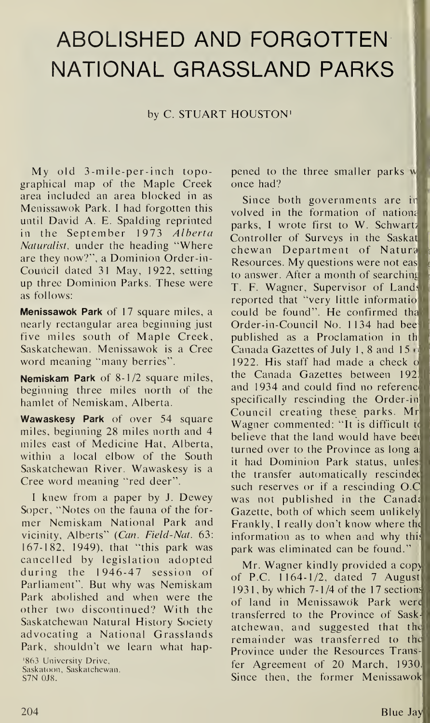## ABOLISHED AND FORGOTTEN NATIONAL GRASSLAND PARKS

## by C. STUART HOUSTON1

 $My$  old  $3$ -mile-per-inch topographical map of the Maple Creek area included an area blocked in as Menissawok Park. <sup>I</sup> had forgotten this until David A. E. Spalding reprinted in the September 1973 Alberta Naturalist, under the heading "Where are they now?", a Dominion Order-in-Council dated 31 May, 1922, setting up three Dominion Parks. These were as follows:

**Menissawok Park** of 17 square miles, a nearly rectangular area beginning just five miles south of Maple Creek, Saskatchewan. Menissawok is a Cree word meaning "many berries".

Nemiskam Park of 8-1/2 square miles, beginning three miles north of the hamlet of Nemiskam, Alberta.

Wawaskesy Park of over 54 square miles, beginning 28 miles north and 4 miles east of Medicine Hat, Alberta, within a local elbow of the South Saskatchewan River. Wawaskesy is a Cree word meaning "red deer".

<sup>I</sup> knew from a paper by J. Dewey Soper, "Notes on the fauna of the former Nemiskam National Park and vicinity, Alberts" (Can. Field-Nat. 63: 167-182, 1949), that "this park was cancelled by legislation adopted during the 1946-47 session of Parliament". But why was Nemiskam Park abolished and when were the other two discontinued? With the Saskatchewan Natural History Society advocating a National Grasslands Park, shouldn't we learn what hap-'863 University Drive, Saskatoon, Saskatchewan.

S7N 0J8.

pened to the three smaller parks w once had?

Since both governments are in volved in the formation of nationa parks, <sup>I</sup> wrote first to W. Schwartz Controller of Surveys in the Saskat chewan Department of Natura Resources. My questions were not eas to answer. After a month of searching T. F. Wagner, Supervisor of Lands reported that "very little informatio could be found". He confirmed tha Order-in-Council No. 1134 had bee published as a Proclamation in th Canada Gazettes of July 1, 8 and 15  $\alpha$ 1922. His staff had made a check of the Canada Gazettes between 192: and 1934 and could find no referenc< specifically rescinding the Order-in Council creating these parks. Mr] Wagner commented: "It is difficult to believe that the land would have beet turned over to the Province as long a: it had Dominion Park status, unlesl the transfer automatically rescindec such reserves or if a rescinding O.C was not published in the Canada Gazette, both of which seem unlikely: Frankly, I really don't know where the information as to when and why this park was eliminated can be found."

Mr. Wagner kindly provided a copy of P.C. 1164-1/2, dated 7 August 1931, by which  $7-1/4$  of the 17 sections of land in Menissawok Park were transferred to the Province of Saskatchewan, and suggested that the remainder was transferred to the Province under the Resources Transfer Agreement of 20 March, 1930. Since then, the former Menissawok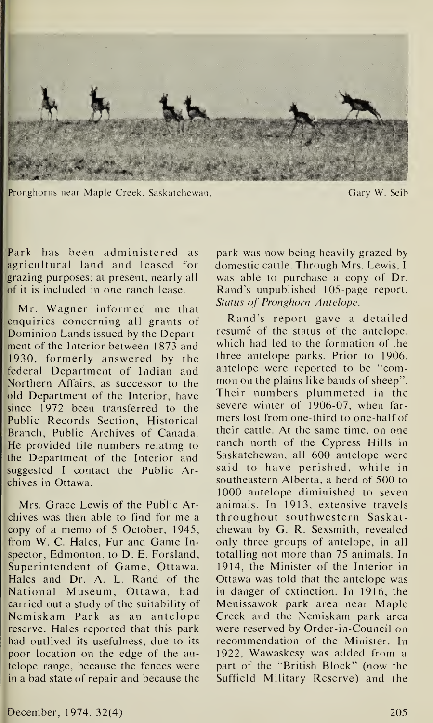

Pronghorns near Maple Creek, Saskatchewan. Gary W. Seib

Park has been administered as agricultural land and leased for grazing purposes; at present, nearly all of it is included in one ranch lease.

Mr. Wagner informed me that enquiries concerning all grants of Dominion Lands issued by the Department of the Interior between 1873 and 1930, formerly answered by the federal Department of Indian and Northern Affairs, as successor to the old Department of the Interior, have since 1972 been transferred to the Public Records Section, Historical Branch, Public Archives of Canada. He provided file numbers relating to the Department of the Interior and suggested I contact the Public  $Ar$ chives in Ottawa.

Mrs. Grace Lewis of the Public Archives was then able to find for me a copy of a memo of 5 October, 1945, from W. C. Hales, Fur and Game Inspector, Edmonton, to D. E. Forsland, Superintendent of Game, Ottawa. Hales and Dr. A. L. Rand of the National Museum, Ottawa, had carried out a study of the suitability of Nemiskam Park as an antelope reserve. Hales reported that this park had outlived its usefulness, due to its poor location on the edge of the antelope range, because the fences were in a bad state of repair and because the

park was now being heavily grazed by domestic cattle. Through Mrs. Lewis, <sup>I</sup> was able to purchase a copy of Dr. Rand's unpublished 105-page report. Status of Pronghorn Antelope.

Rand's report gave a detailed resume of the status of the antelope, which had led to the formation of the three antelope parks. Prior to 1906, antelope were reported to be "common on the plains like bands of sheep''. Their numbers plummeted in the severe winter of 1906-07, when farmers lost from one-third to one-half of their cattle. At the same time, on one ranch north of the Cypress Hills in Saskatchewan, all 600 antelope were said to have perished, while in southeastern Alberta, a herd of 500 to 1000 antelope diminished to seven animals. In 1913, extensive travels throughout southwestern Saskatchewan by G. R. Sexsmith, revealed only three groups of antelope, in all totalling not more than 75 animals. In 1914, the Minister of the Interior in Ottawa was told that the antelope was in danger of extinction. In 1916, the Menissawok park area near Maple Creek and the Nemiskam park area were reserved by Order-in-Council on recommendation of the Minister. In 1922, Wawaskesy was added from a part of the "British Block" (now the Suffield Military Reserve) and the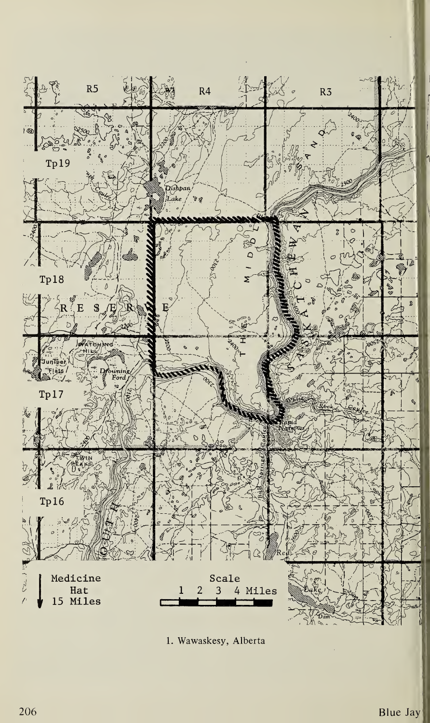

1. Wawaskesy, Alberta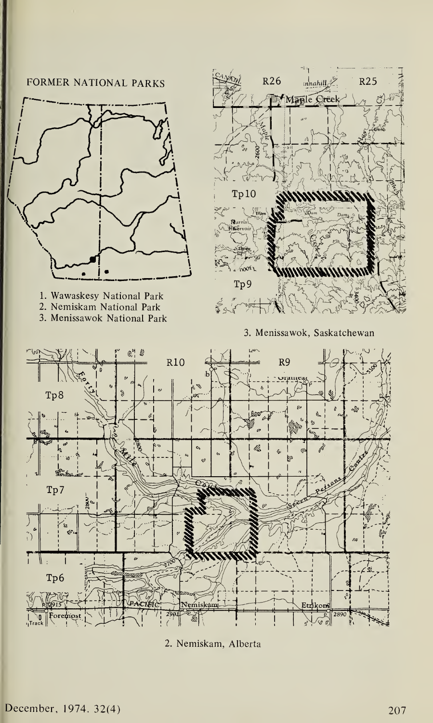



- 1. Wawaskesy National Park
- 2. Nemiskam National Park
- 3. Menissawok National Park







2. Nemiskam, Alberta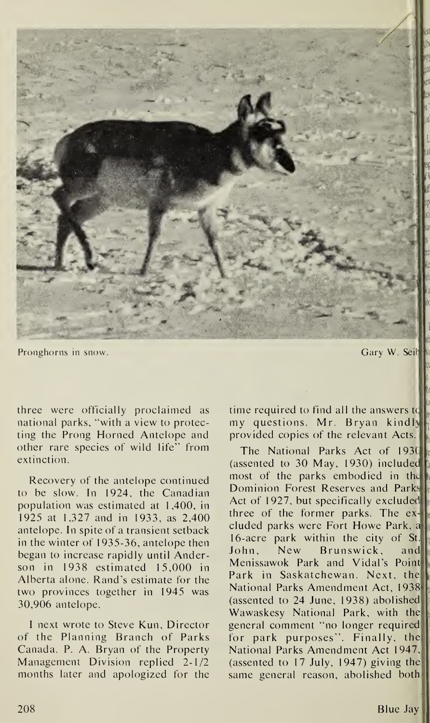

Pronghorns in snow.

Gary W. Seil

three were officially proclaimed as national parks, "with a view to protecting the Prong Horned Antelope and other rare species of wild life" from extinction.

Recovery of the antelope continued to be slow. In 1924, the Canadian population was estimated at 1,400, in 1925 at 1,327 and in 1933, as 2,400 antelope. In spite of a transient setback in the winter of 1935-36, antelope then began to increase rapidly until Anderson in 1938 estimated 15,000 in Alberta alone. Rand's estimate for the two provinces together in 1945 was 30,906 antelope.

I next wrote to Steve Kun, Director of the Planning Branch of Parks Canada. P. A. Bryan of the Property Management Division replied 2-1/2 months later and apologized for the time required to find all the answers to my questions. Mr. Bryan kindly provided copies of the relevant Acts.

The National Parks Act of 1930 (assented to 30 May, 1930) included most of the parks embodied in the Dominion Forest Reserves and Parks Act of 1927, but specifically excluded three of the former parks. The  $ex$ cluded parks were Fort Howe Park, a 16-acre park within the city of  $St.$ New Brunswick, John, and Menissawok Park and Vidal's Point Park in Saskatchewan. Next, the National Parks Amendment Act, 1938 (assented to 24 June, 1938) abolished Wawaskesy National Park, with the general comment "no longer required for park purposes". Finally, the National Parks Amendment Act 1947, (assented to 17 July, 1947) giving the same general reason, abolished both